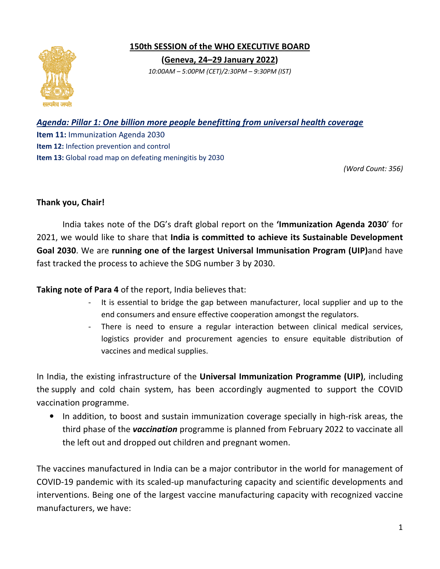

**150th SESSION SESSION of the WHO EXECUTIVE BOARD ( (Geneva, 24–29 January 2022)**  *10:00AM – 5:00PM (CET)/2:30PM – 9:30PM (IST)* 

## *Agenda: Pillar 1: One billion more people benefitting from universal health coverage more health*

**Item 11:** Immunization Agenda 2030 **Item 12:** Infection prevention and control **Item 12:** Infection prevention and control<br>**Item 13:** Global road map on defeating meningitis by 2030

*(Word Count: 356)* 

## **Thank you, Chair!**

 India takes note of the DG's draft global report on the **'Immunization Agenda 2030** ' for 2021, we would like to share that India is committed to achieve its Sustainable Development Goal 2030. We are running one of the largest Universal Immunisation Program (UIP)and have fast tracked the process to achieve the SDG number 3 by 2030.

Taking note of Para 4 of the report, India believes that:

- It is essential to bridge the gap between manufacturer, local supplier and up to the end consumers and ensure effective cooperation amongst the regulators. end consumers and ensure effective cooperation amongst the
- There is need to ensure a regular interaction between clinical medical services, logistics provider and procurement agencies to ensure equitable distribution of vaccines and medical supplies.

In India, the existing infrastructure of the Universal Immunization Programme (UIP), including the supply and cold chain system, has been accordingly augmented to support the COVID<br>vaccination programme.<br>In addition, to boost and sustain immunization coverage specially in high-risk areas, the vaccination programme.

• In addition, to boost and sustain immunization coverage specially in high-risk areas, the In addition, to boost and sustain immunization coverage specially in high-risk areas, the<br>third phase of the *vaccination* programme is planned from February 2022 to vaccinate all the left out and dropped out children and pregnant women.

The vaccines manufactured in India can be a major contributor in the world for management of COVID-19 pandemic with its scaled-up manufacturing capacity and scientific developments and interventions. Being one of the largest vaccine manufacturing capacity with recognized vaccine manufacturers, we have: the left out and dropped out children and pregnant women.<br>vaccines manufactured in India can be a major contributor in the world for management of<br>ID-19 pandemic with its scaled-up manufacturing capacity and scientific dev **n** programme is planned from<br>children and pregnant women<br>can be a major contributor in<br>up manufacturing capacity an